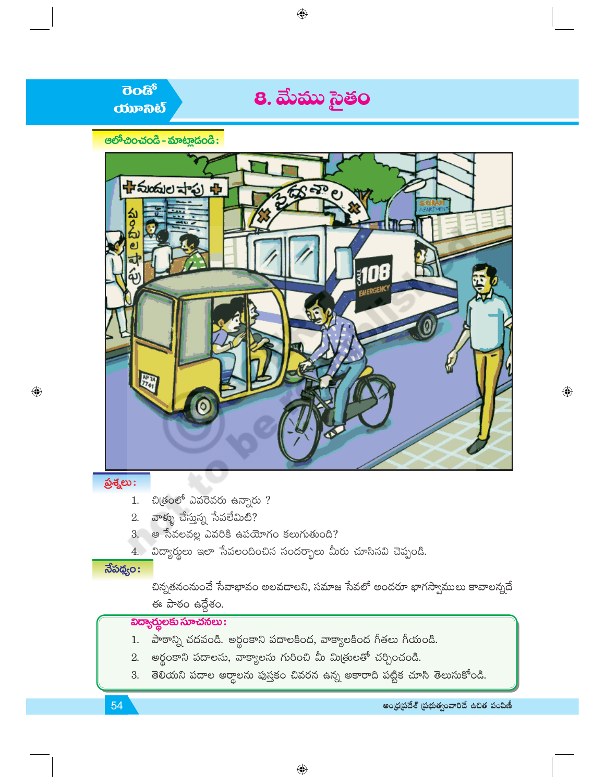

# $\delta$ శ్నలు:

 $\bigoplus$ 

- 1. చిత్రంలో ఎవరెవరు ఉన్నారు ?
- 2. వాళ్ళు చేస్తున్న సేవలేమిటి?
- 3. ఆ సేవలవల్ల ఎవరికి ఉపయోగం కలుగుతుంది?
- 4. విద్యార్థులు ఇలా సేవలందించిన సందర్భాలు మీరు చూసినవి చెప్పండి.

# $\overline{\mathfrak{F}}$ పథ్యం:

చిన్నతనంనుంచే సేవాభావం అలవడాలని, సమాజ సేవలో అందరూ భాగస్వాములు కావాలన్నదే ఈ పాఠం ఉద్దేశం.

# విద్యార్థులకు సూచనలు:

- పాఠాన్ని చదవండి. అర్థంకాని పదాలకింద, వాక్యాలకింద గీతలు గీయండి.  $1.$
- అర్థంకాని పదాలను, వాక్యాలను గురించి మీ మిత్రులతో చర్చించండి. 2.
- తెలియని పదాల అర్థాలను పుస్తకం చివరన ఉన్న అకారాది పట్టిక చూసి తెలుసుకోండి. 3.

ఆంధ్రప్రదేశ్ ప్రభుత్వంవారిచే ఉచిత పంపిణీ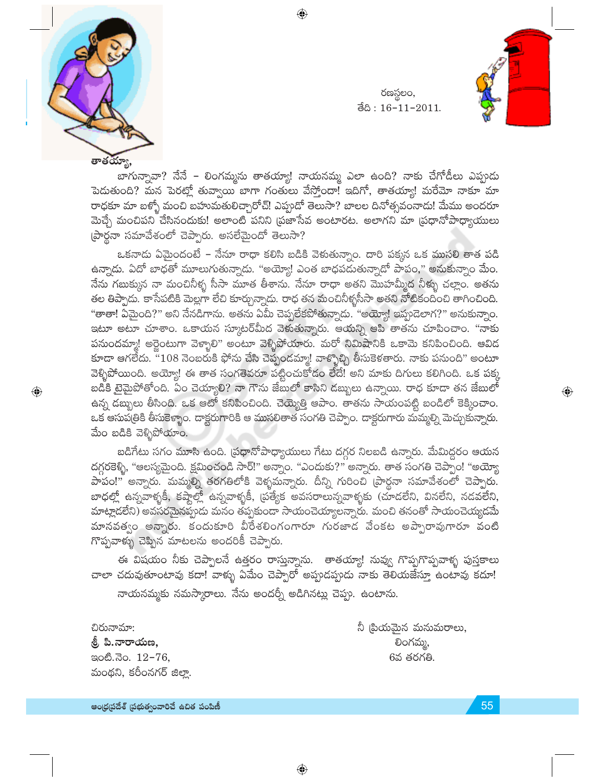

రణస్థలం, මීයි : 16−11−2011.



 $\textcircled{\scriptsize\textsf{P}}$ 

బాగున్నావా? నేనే – లింగమ్మను తాతయ్యా! నాయనమ్మ ఎలా ఉంది? నాకు చేగోడీలు ఎప్పుడు పెదుతుంది? మన పెరట్లో తువ్వాయి బాగా గంతులు వేస్తోందా! ఇదిగో, తాతయ్యా! మరేమో నాకూ మా రాధకూ మా బళ్ళో మంచి బహుమతులిచ్చారోచ్! ఎప్పుడో తెలుసా? బాలల దినోత్సవంనాడు! మేము అందరూ మెచ్చే మంచిపని చేసినందుకు! అలాంటి పనిని (పజాసేవ అంటారట. అలాగని మా (పధానోపాధ్యాయులు (ఫార్గనా సమావేశంలో చెప్పారు. అసలేమైందో తెలుసా?

⊕

ఒకనాదు ఏమైందంటే – నేనూ రాధా కలిసి బడికి వెళుతున్నాం. దారి పక్కన ఒక ముసలి తాత పడి ఉన్నాడు. ఏదో బాధతో మూలుగుతున్నాడు. "అయ్యో! ఎంత బాధపడుతున్నాడో పాపం," అనుకున్నాం మేం. నేను గబుక్కున నా మంచినీళ్ళ సీసా మూత తీశాను. నేనూ రాధా అతని మొహమ్మీద నీళ్ళు చల్లాం. అతను తల తిప్పాదు. కాసేపటికి మెల్లగా లేచి కూర్చున్నాడు. రాధ తన మంచినీళ్ళసీసా అతని నోటికందించి తాగించింది. "తాతా! ఏమైంది?" అని నేనడిగాను. అతను ఏమీ చెప్పలేకపోతున్నాడు. "అయ్యో! ఇప్పుడెలాగ?" అనుకున్నాం. ఇటూ అటూ చూశాం. ఒకాయన స్కూటర్మీద వెళుతున్నారు. ఆయన్ని ఆపి తాతను చూపించాం. "నాకు పనుందమ్మా! అర్జెంటుగా వెళ్ళాలి" అంటూ వెళ్ళిపోయారు. మరో నిమిషానికి ఒకామె కనిపించింది. ఆవిడ కూడా ఆగలేదు. "108 నెంబరుకి ఫోను చేసి చెప్పండమ్మా! వాళ్ళొచ్చి తీసుకెళతారు. నాకు పనుంది" అంటూ వెళ్ళిపోయింది. అయ్యో! ఈ తాత సంగతెవరూ పట్టించుకోడం లేదే! అని మాకు దిగులు కలిగింది. ఒక పక్క బడికి టైమైపోతోంది. ఏం చెయ్యాలి? నా గౌను జేబులో కాసిని దబ్బులు ఉన్నాయి. రాధ కూడా తన జేబులో ఉన్న డబ్బులు తీసింది. ఒక ఆటో కనిపించింది. చెయ్యెత్తి ఆపాం. తాతను సాయంపట్టి బండిలో కెక్కించాం. ఒక ఆసుపట్రికి తీసుకెళ్ళాం. దాక్టరుగారికి ఆ ముసలితాత సంగతి చెప్పాం. దాక్టరుగారు మమ్మల్ని మెచ్చుకున్నారు. మేం బడికి వెళ్ళిపోయాం.

బడిగేటు సగం మూసి ఉంది. [పధానోపాధ్యాయులు గేటు దగ్గర నిలబడి ఉన్నారు. మేమిద్దరం ఆయన దగ్గరకెళ్ళి, "ఆలస్యమైంది. క్షమించండి సార్!" అన్నాం. "ఎందుకు?" అన్నారు. తాత సంగతి చెప్పాం! "అయ్యో పాపం!" అన్నారు. మమ్మల్ని తరగతిలోకి వెళ్ళమన్నారు. దీన్ని గురించి (పార్థనా సమావేశంలో చెప్పారు. బాధల్లో ఉన్నవాళ్ళకీ, కష్టాల్లో ఉన్నవాళ్ళకీ, ద్రత్యేక అవసరాలున్నవాళ్ళకు (చూడలేని, వినలేని, నడవలేని, మాట్లాదలేని) అవసరమైనప్పుడు మనం తప్పకుండా సాయంచెయ్యాలన్నారు. మంచి తనంతో సాయంచెయ్యదమే మానవత్వం అన్నారు. కందుకూరి వీరేశలింగంగారూ గురజాడ వేంకట అప్పారావుగారూ వంటి గొప్పవాళ్ళు చెప్పిన మాటలను అందరికీ చెప్పారు.

ఈ విషయం నీకు చెప్పాలనే ఉత్తరం రాస్తున్నాను. తాతయ్యా! నువ్వు గొప్పగొప్పవాళ్ళ పుస్తకాలు చాలా చదువుతూంటావు కదా! వాళ్ళు ఏమేం చెప్పారో అప్పుడప్పుడు నాకు తెలియజేస్తూ ఉంటావు కదూ!

 $\bigoplus$ 

నాయనమ్మకు నమస్కారాలు. నేను అందర్నీ అడిగినట్లు చెప్పు. ఉంటాను.

చిరునామా: త్రీ పి.నారాయణ, පුරුඪ. 30. 12-76, మంథని, కరీంనగర్ జిల్లా. ని [పియమైన మనుమరాలు, లింగమ్మ, 6వ తరగతి.

ఆంధ్రప్రదేశ్ (పభుత్వంవారిచే ఉచిత పంపిణీ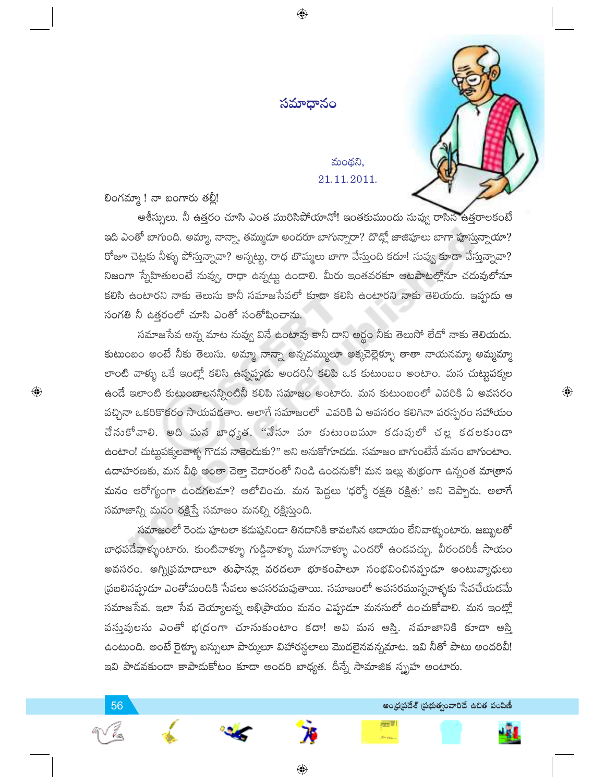

మందని. 21.11.2011.

లింగమ్మా ! నా బంగారు తల్లీ!

 $\bigoplus$ 

56

ఆశీస్సులు. నీ ఉత్తరం చూసి ఎంత మురిసిపోయానో! ఇంతకుముందు నువ్వు రాసిన ఉత్తరాలకంటే ఇది ఎంతో బాగుంది. అమ్మా, నాన్నా, తమ్ముదూ అందరూ బాగున్నారా? దొడ్లో జాజిపూలు బాగ<mark>ా పూ</mark>స్తున్నాయా? రోజూ చెట్లకు నీళ్ళు పోస్తున్నావా? అన్నట్లు, రాధ బొమ్మలు బాగా వేస్తుంది కదూ! నువ్వు కూడా వేస్తున్నావా? నిజంగా స్నేహితులంటే నువ్వు, రాధా ఉన్నట్లు ఉండాలి. మీరు ఇంతవరకూ ఆటపాటల్లోనూ చదువులోనూ కలిసి ఉంటారని నాకు తెలుసు కానీ సమాజసేవలో కూ<mark>డా</mark> కలిసి ఉంటారని నాకు తెలియదు. ఇప్పుడు ఆ సంగతి నీ ఉత్తరంలో చూసి ఎంతో సంతోషించాను.

⊕

సమాధానం

సమాజసేవ అన్న మాట నువ్వు వినే ఉంటావు కానీ దాని అర్థం నీకు తెలుసో లేదో నాకు తెలియదు. కుటుంబం అంటే నీకు తెలుసు. అమ్మా నాన్నా అన్నదమ్ములూ అక్కచెల్లెళ్ళూ తాతా నాయనమ్మా అమ్మమ్మా లాంటి వాళ్ళు ఒకే ఇంట్లో కలిసి ఉన్నప్పుడు అందరినీ కలిపి ఒక కుటుంబం అంటాం. మన చుట్టపక్కల ఉందే ఇలాంటి కుటుంబాలనన్నింటినీ కలిపి సమాజం అంటారు. మన కుటుంబంలో ఎవరికి ఏ అవసరం వచ్చినా ఒకరికొకరం సాయపడతాం. అలాగే సమాజంలో ఎవరికి ఏ అవసరం కలిగినా పరస్పరం సహాయం చేసుకోవాలి. అది మన బాధ్యత. ''నేనూ మా కుటుంబమూ కడుపులో చల్ల కదలకుండా ఉంటాం! చుట్టపక్కలవాళ్ళ గొడవ నాకెందుకు?" అని అనుకోగూడదు. సమాజం బాగుంటేనే మనం బాగుంటాం. ఉదాహరణకు, మన వీథి అంతా చెత్తా చెదారంతో నిండి ఉందనుకో! మన ఇల్లు శుభ్రంగా ఉన్నంత మా[తాన మనం ఆరోగ్యంగా ఉండగలమా? ఆలోచించు. మన పెద్దలు 'ధర్మో రక్షతి రక్షిత:' అని చెప్పారు. అలాగే సమాజాన్ని మనం రక్షిస్తే సమాజం మనల్ని రక్షిస్తుంది.

సమాజంలో రెండు పూటలా కడుపునిండా తినడానికి కావలసిన ఆదాయం లేనివాళ్ళుంటారు. జబ్బులతో బాధపడేవాళ్ళుంటారు. కుంటివాళ్ళూ గుడ్డివాళ్ళూ మూగవాళ్ళూ ఎందరో ఉండవచ్చు. వీరందరికీ సాయం అవసరం. అగ్నిట్రమాదాలూ తుఫాన్లూ వరదలూ భూకంపాలూ సంభవించినప్పుడూ అంటువ్యాధులు ప్రబలినప్పుడూ ఎంతోమందికి సేవలు అవసరమవుతాయి. సమాజంలో అవసరమున్నవాళ్ళకు సేవచేయడమే సమాజసేవ. ఇలా సేవ చెయ్యాలన్న అభి[ప్రాయం మనం ఎప్పుడూ మనసులో ఉంచుకోవాలి. మన ఇంట్లో వసువులను ఎంతో భ(దంగా చూసుకుంటాం కదా! అవి మన ఆస్తి. సమాజానికి కూడా ఆస్తి ఉంటుంది. అంటే రైళ్ళూ బస్సులూ పార్కులూ విహారస్థలాలు మొదలైనవన్నమాట. ఇవి నీతో పాటు అందరివీ! ఇవి పాడవకుండా కాపాడుకోటం కూడా అందరి బాధ్యత. దీన్నే సామాజిక స్ఫృహ అంటారు.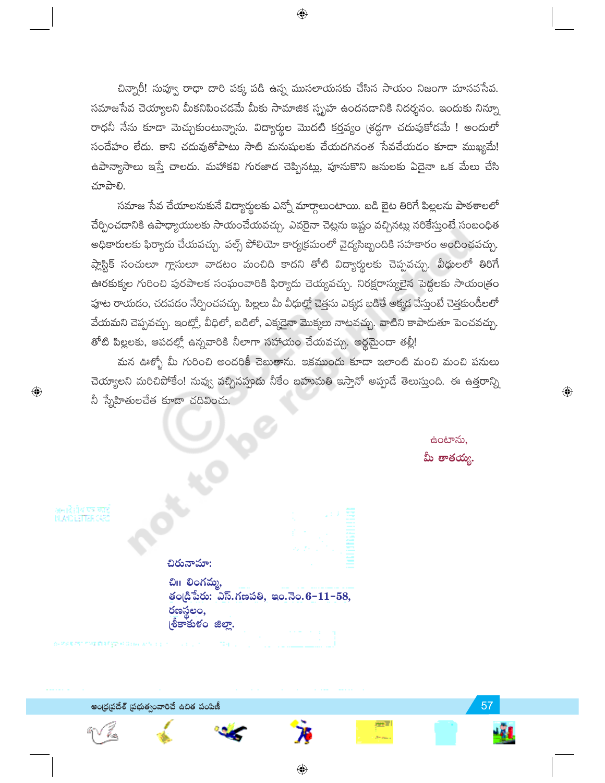చిన్నారీ! నువ్వూ రాధా దారి పక్క పడి ఉన్న ముసలాయనకు చేసిన సాయం నిజంగా మానవసేవ. సమాజసేవ చెయ్యాలని మీకనిపించడమే మీకు సామాజిక స్ఫృహ ఉందనదానికి నిదర్శనం. ఇందుకు నిన్నూ రాధనీ నేను కూడా మెచ్చుకుంటున్నాను. విద్యార్థుల మొదటి కర్తవ్యం (శద్ధగా చదువుకోడమే ! అందులో సందేహం లేదు. కాని చదువుతోపాటు సాటి మనుషులకు చేయదగినంత సేవచేయడం కూడా ముఖ్యమే! ఉపాన్యాసాలు ఇస్తే చాలదు. మహాకవి గురజాడ చెప్పినట్లు, పూనుకొని జనులకు ఏదైనా ఒక మేలు చేసి చూపాలి.

 $\bigoplus$ 

సమాజ సేవ చేయాలనుకునే విద్యార్థులకు ఎన్నో మార్గాలుంటాయి. బడి బైట తిరిగే పిల్లలను పాఠశాలలో చేర్పించడానికి ఉపాధ్యాయులకు సాయంచేయవచ్చు. ఎవరైనా చెట్లను ఇష్టం వచ్చినట్లు నరికేస్తుంటే సంబంధిత అధికారులకు ఫిర్యాదు చేయవచ్చు. పల్స్ పోలియో కార్యక్రమంలో వైద్యసిబ్బందికి సహకారం అందించవచ్చు. ప్లాస్టిక్ సంచులూ గ్లాసులూ వాడటం మంచిది కాదని తోటి విద్యార్థులకు చెప్పవచ్చు. వీధులలో తిరిగే ఊరకుక్మల గురించి పురపాలక సంఘంవారికి ఫిర్యాదు చెయ్యవచ్చు. నిరక్షరాస్యులైన పెద్దలకు సాయంత్రం పూట రాయడం, చదవడం నేర్పించవచ్చు. పిల్లలు మీ వీధుల్లో చెత్తను ఎక్కడ బడితే అక్కడ వేస్తుంటే చెత్తకుండీలలో వేయమని చెప్పవచ్చు. ఇంట్లో, వీధిలో, బడిలో, ఎక్కడైనా మొక్కలు నాటవచ్చు. వాటిని కాపాడుతూ పెంచవచ్చు. తోటి పిల్లలకు, ఆపదల్లో ఉన్నవారికి నీలాగా సహాయం చేయవచ్చు. అర్థమైందా తల్లీ!

మన ఊళ్ళో మీ గురించి అందరికీ చెబుతాను. ఇకముందు కూడా ఇలాంటి మంచి మంచి పనులు చెయ్యాలని మరిచిపోకేం! నువ్వు వచ్చినప్పుడు నీకేం బహుమతి ఇస్తానో అప్పుడే తెలుస్తుంది. ఈ ఉత్తరాన్ని నీ స్నేహితులచేత కూడా చదివించు.

 $\bigoplus$ 

ఉంటాను. మీ తాతయ్య.

57

m.

 $\textcolor{black}{\textcolor{black}{\bigoplus}}$ 

<sub>ਸ਼ਾਸ</sub> ਨੂੰ ਮੁੱਖ ਬਰ ਦੇਣਾਂ <u>N ANDERTAR OR</u> చిరునామా: பிட **ப**ெல்லு, తండ్రిపేరు: ఎస్.గణపతి, ఇం.నెం.6−11−58, రణస్థలం, (శీకాకుళం జిల్లా.

ఆంధ్రప్రదేశ్ (పభుత్వంవారిచే ఉచిత పంపిణీ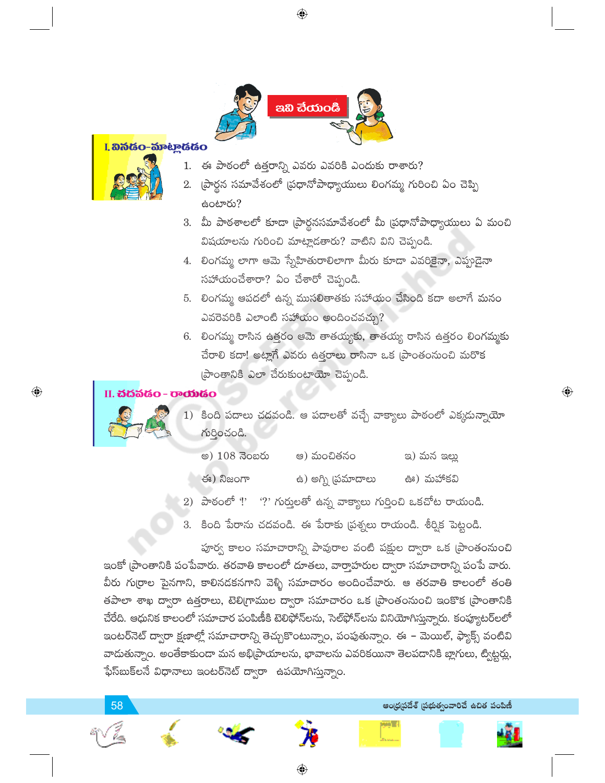

### I. ನಿನೆಡೆಂ-ಮಾಟ್ಲಾಡೆಡೆಂ



- 1. ఈ పాఠంలో ఉత్తరాన్ని ఎవరు ఎవరికి ఎందుకు రాశారు?
- 2. (పార్థన సమావేశంలో (పధానోపాధ్యాయులు లింగమ్మ గురించి ఏం చెప్పి ఉంటారు?
- 3. మీ పాఠశాలలో కూడా (పార్థనసమావేశంలో మీ (పధానోపాధ్యాయులు ఏ మంచి విషయాలను గురించి మాట్లాడతారు? వాటిని విని చెప్పండి.
- 4. లింగమ్మ లాగా ఆమె స్నేహితురాలిలాగా మీరు కూడా ఎవరి<mark>కైనా,</mark> ఎప్పుడైనా సహాయంచేశారా? ఏం చేశారో చెప్పండి.
- 5. లింగమ్మ ఆపదలో ఉన్న ముసలితాతకు సహాయం చేసింది కదా అలాగే మనం ఎవరెవరికి ఎలాంటి సహాయం అందించవచ్చు?
- 6. లింగమ్మ రాసిన ఉత్తరం ఆమె తాతయ్యకు, తాతయ్య రాసిన ఉత్తరం లింగమ్మకు చేరాలి కదా! అట్లాగే ఎవరు ఉత్తరాలు రాసినా ఒక (పాంతంనుంచి మరొక ప్రాంతానికి ఎలా చేరుకుంటాయో చెప్పండి.

 $\textcolor{black}{\textcolor{black}{\bigoplus}}$ 

### II. చదవడం - రాయడం



 $\textcolor{black}{\textcolor{black}{\bigcirc}}$ 

- కింది పదాలు చదవండి. ఆ పదాలతో వచ్చే వాక్యాలు పాఠంలో ఎక్కడున్నాయో  $1)$ గుర్తించండి.
	- **@) 108 నెంబరు** అ) మంచితనం ఇ) మన ఇల్లు
	- ఈ) నిజంగా ఉ) అగ్ని (పమాదాలు ఊ) మహాకవి
- $2)$  పాఠంలో '!' '?' గుర్తులతో ఉన్న వాక్యాలు గుర్తించి ఒకచోట రాయండి.
- 3. కింది పేరాను చదవండి. ఈ పేరాకు (పశ్నలు రాయండి. శీర్షిక పెట్టండి.

ఆంధ్రప్రదేశ్ (పభుత్వంవారిచే ఉచిత పంపిణీ

పూర్వ కాలం సమాచారాన్ని పావురాల వంటి పక్షుల ద్వారా ఒక [పాంతంనుంచి ఇంకో [పాంతానికి పంపేవారు. తరవాతి కాలంలో దూతలు, వార్తాహరుల ద్వారా సమాచారాన్ని పంపే వారు. వీరు గుర్రాల పైనగాని, కాలినడకనగాని వెళ్ళి సమాచారం అందించేవారు. ఆ తరవాతి కాలంలో తంతి తపాలా శాఖ ద్వారా ఉత్తరాలు, టెలిగ్రాముల ద్వారా సమాచారం ఒక (పాంతంనుంచి ఇంకొక (పాంతానికి చేరేది. ఆధునిక కాలంలో సమాచార పంపిణీకి టెలిఫోన్లను, సెల్ఫోన్లను వినియోగిస్తున్నారు. కంప్యూటర్లలో ఇంటర్నెట్ ద్వారా క్షణాల్లో సమాచారాన్ని తెచ్చుకొంటున్నాం, పంపుతున్నాం. ఈ – మెయిల్, ఫ్యాక్స్ వంటివి వాదుతున్నాం. అంతేకాకుండా మన అభి[ప్రాయాలను, భావాలను ఎవరికయినా తెలపడానికి బ్లాగులు, ట్విట్టర్లు, ఫేస్బుక్**లనే విధానాలు ఇంటర్**నెట్ ద్వారా ఉపయోగిస్తున్నాం.

◈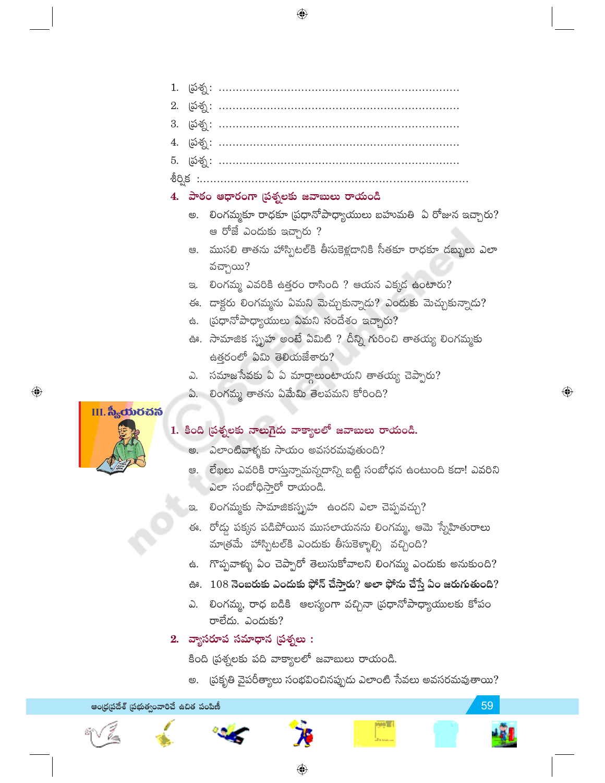| 4. పాఠం ఆదారంగా 'పశ్చలకు జవాబులు రాయండి |  |  |  |  |  |  |  |
|-----------------------------------------|--|--|--|--|--|--|--|

- అ. లింగమ్మకూ రాధకూ (పధానోపాధ్యాయులు బహుమతి ఏ రోజున ఇచ్చారు? ఆ రోజే ఎందుకు ఇచ్చారు ?
- ఆ. ముసలి తాతను హాస్పిటల్కి తీసుకెళ్లడానికి సీతకూ రాధకూ డబ్బులు ఎలా వచ్చాయి?
- ఇ. లింగమ్మ ఎవరికి ఉత్తరం రాసింది ? ఆయన ఎక్కడ ఉంటారు?
- ఈ. డాక్టరు లింగమ్మను ఏమని మెచ్చుకున్నాడు? ఎందుకు మెచ్చుకున్నాడు?
- ఉ. (పధానోపాధ్యాయులు ఏమని సందేశం ఇచ్చారు?
- ఊ. సామాజిక స్ఫృహ అంటే ఏమిటి ? దీన్ని గురించి తాతయ్య లింగమ్మకు  $\triangle$ త్తరంలో ఏమి తెలియజేశారు?
- ఎ. సమాజసేవకు ఏ ఏ మార్గాలుంటాయని తాతయ్య చెప్పారు?
- ఏ. లింగమ్మ తాతను ఏమేమి తెలపమని కోరింది?



 $\bigoplus$ 

- $\,$ 1. కింది (పశ్నలకు నాలుగైదు వాక్యాలలో జవాబులు రాయండి.
	- అ. ఎలాంటివాళ్ళకు సాయం అవసరమవుతుంది?
	- ఆ. లేఖలు ఎవరికి రాస్తున్నామన్నదాన్ని బట్టి సంబోధన ఉంటుంది కదా! ఎవరిని  $\frac{1}{2}$ ఎలా సంబోధిస్తారో రాయండి.

 $\textcolor{black}{\textcolor{black}{\bigoplus}}$ 

- లింగమ్మకు సామాజికస్ఫృహ ఉందని ఎలా చెప్పవచ్చు?
- ఈ. రోడ్న పక్కన పడిపోయిన ముసలాయనను లింగమ్మ, ఆమె స్నేహితురాలు మాత్రమే హాస్పిటల్కి ఎందుకు తీసుకెళ్ళాల్సి వచ్చింది?
- ఉ. గొప్పవాళ్ళు ఏం చెప్పారో తెలుసుకోవాలని లింగమ్మ ఎందుకు అనుకుంది?
- ఊ. 108 నెంబరుకు ఎందుకు ఫోన్ చేస్తారు? అలా ఫోను చేస్తే ఏం జరుగుతుంది?
- ఎ. లింగమ్మ, రాధ బడికి ఆలస్యంగా వచ్చినా (పధానోపాధ్యాయులకు కోపం రాలేదు. ఎందుకు?

 $2.$  వ్యాసరూప సమాధాన (పశ్నలు :

కింది (పశ్నలకు పది వాక్యాలలో జవాబులు రాయండి.

అ. (పకృతి వైపరీత్యాలు సంభవించినప్పుడు ఎలాంటి సేవలు అవసరమవుతాయి?



⊕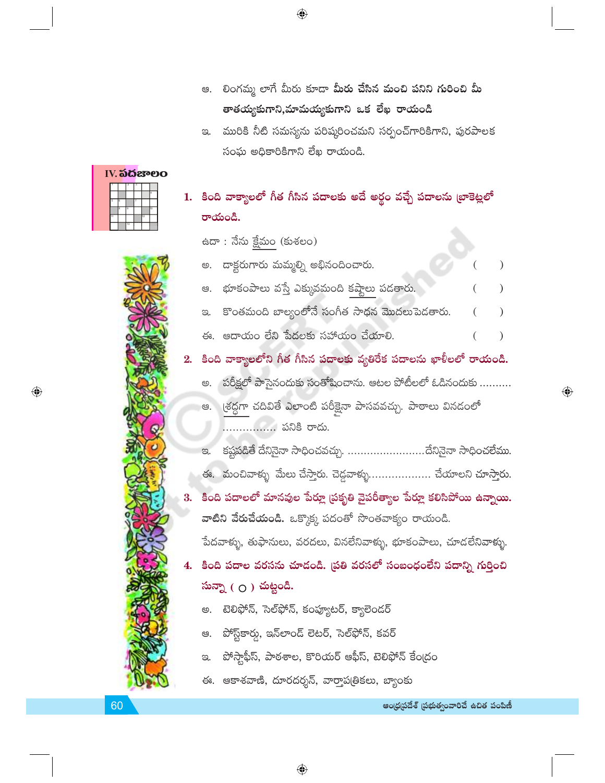- ఆ. లింగమ్మ లాగే మీరు కూడా <mark>మీరు చేసిన మంచి పనిని గురించి మీ</mark> తాతయ్యకుగాని,మామయ్యకుగాని ఒక లేఖ రాయండి
- మురికి నీటి సమస్యను పరిష్కరించమని సర్పంచ్గారికిగాని, పురపాలక පූ. సంఘ అధికారికిగాని లేఖ రాయండి.

#### **IV.** ನದಚಾಲಂ

|  |   | 2  | $\overline{\mathbf{a}}$ |                 |    |  |  |
|--|---|----|-------------------------|-----------------|----|--|--|
|  |   |    |                         |                 | k  |  |  |
|  | 6 |    | 7                       |                 |    |  |  |
|  | 8 | q  |                         |                 | 10 |  |  |
|  |   |    |                         | $\overline{12}$ |    |  |  |
|  |   | 13 |                         |                 |    |  |  |

 $\textcolor{black}{\textcolor{black}{\bigcirc}}$ 

# 1. కింది వాక్యాలలో గీత గీసిన పదాలకు అదే అర్థం వచ్చే పదాలను బ్రాకెట్లలో రాయండి.

ఉదా: నేను క్షేమం (కుశలం)

- దాక్టరుగారు మమ్మల్ని అభినందించారు. ඏ.
- భూకంపాలు వస్తే ఎక్కువమంది కష్టాలు పడతారు. ఆ.
- కొంతమంది బాల్యంలోనే సంగీత సాధన మొదలుపెదతారు. ප.
- ఈ. ఆదాయం లేని పేదలకు సహాయం చేయాలి.  $\mathcal{E}$

# 2. కింది వాక్యాలలోని గీత గీసిన పదాలకు వ్యతిరేక పదాలను ఖాళీలలో రాయండి.

- అ. పరీక్షలో పాసైనందుకు సంతోషించాను. ఆటల పోటీలలో ఓడినందుకు ..........
- ఆ. శ్రద్ధగా చదివితే ఎలాంటి పరీక్షైనా పాసవవచ్చు. పాఠాలు వినడంలో ................. పనికి రాదు.
- ఇ. కష్టపడితే దేనినైనా సాధించవచ్చు. ..............................దేనినైనా సాధించలేము.
- ఈ. మంచివాళ్ళు మేలు చేస్తారు. చెడ్డవాళ్ళు.................... చేయాలని చూస్తారు.
- కింది పదాలలో మానవుల పేర్లూ (పకృతి వైపరీత్యాల పేర్లూ కలిసిపోయి ఉన్నాయి. 3. వాటిని వేరుచేయండి. ఒక్కొక్క పదంతో సొంతవాక్యం రాయండి.

పేదవాళ్ళు, తుఫానులు, వరదలు, వినలేనివాళ్ళు, భూకంపాలు, చూడలేనివాళ్ళు.

- 4. కింది పదాల వరసను చూడండి. (పతి వరసలో సంబంధంలేని పదాన్ని గుర్తించి సున్నా $(O)$  చుట్టండి.
	- అ. టెలిఫోన్, సెల్ఫోన్, కంప్యూటర్, క్యాలెండర్
	- పోస్ట్ కార్డు, ఇన్లాండ్ లెటర్, సెల్ఫోన్, కవర్ ఆ.
	- పోస్టాఫీస్, పాఠశాల, కొరియర్ ఆఫీస్, టెలిఫోన్ కేంద్రం පූ.
	- ఈ. ఆకాశవాణి, దూరదర్శన్, వార్తాప(తికలు, బ్యాంకు

 $\bigoplus$ 

 $\textcolor{black}{\textcolor{black}{\bigoplus}}$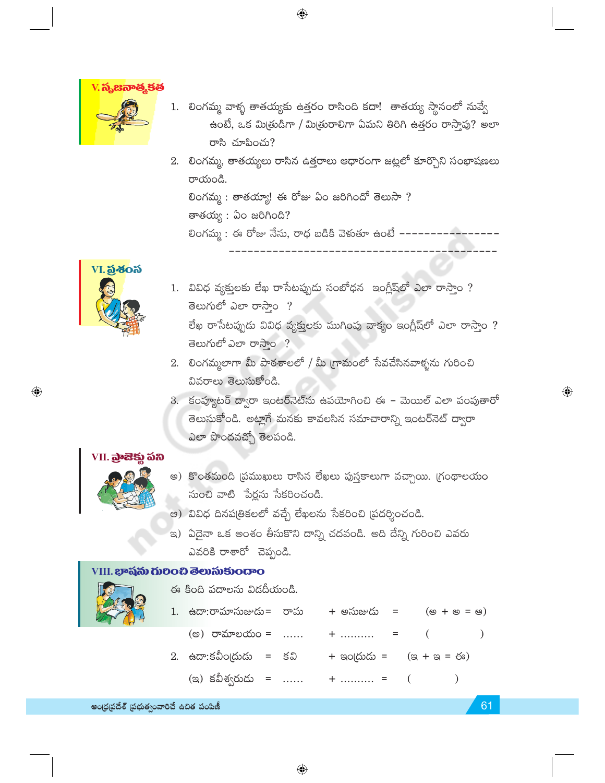

- 1. లింగమ్మ వాళ్ళ తాతయ్యకు ఉత్తరం రాసింది కదా! తాతయ్య స్థానంలో నువ్వే ఉంటే, ఒక మిత్రుడిగా / మిత్రురాలిగా ఏమని తిరిగి ఉత్తరం రాస్తావు? అలా రాసి చూపించు?
- 2. లింగమ్మ, తాతయ్యలు రాసిన ఉత్తరాలు ఆధారంగా జట్లలో కూర్చొని సంభాషణలు రాయండి.

లింగమ్మ : తాతయ్యా! ఈ రోజు ఏం జరిగిందో తెలుసా ? తాతయ్య : ఏం జరిగింది? లింగమ్మ : ఈ రోజు నేను, రాధ బడికి వెళుతూ ఉంటే ––––––––––––––––

 $\bigoplus$ 



 $\bigoplus$ 

- 1. వివిధ వ్యక్తులకు లేఖ రాసేటప్పుడు సంబోధన ఇంగ్లీష్లలో ఎలా రాస్తాం ?  $\overline{3}$ లుగులో ఎలా రాస్తాం ? లేఖ రాసేటప్పుడు వివిధ వృక్తులకు ముగింపు వాక్యం ఇంగ్లీష్లలో ఎలా రాస్తాం ? తెలుగులో ఎలా రాస్తాం ?
- 2. లింగమ్మలాగా మీ పాఠశాలలో / మీ గ్రామంలో సేవచేసినవాళ్ళను గురించి వివరాలు తెలుసుకోండి.
- 3. కంప్యూటర్ ద్వారా ఇంటర్నెట్ను ఉపయోగించి ఈ మెయిల్ ఎలా పంపుతారో తెలుసుకోండి. అట్లాగే మనకు కావలసిన సమాచారాన్ని ఇంటర్నెట్ ద్వారా ఎలా పొందవచ్చో తెలపండి.

### VII. **බ్రాజెక్లు పని**



- అ) కొంతమంది (పముఖులు రాసిన లేఖలు పుస్తకాలుగా వచ్చాయి. (గంథాలయం నుంచి వాటి పేర్లను సేకరించండి.
- అ) వివిధ దినపత్రికలలో వచ్చే లేఖలను సేకరించి ప్రదర్శించండి.
- ఇ) ఏదైనా ఒక అంశం తీసుకొని దాన్ని చదవండి. అది దేన్ని గురించి ఎవరు ఎవరికి రాశారో చెప్పండి.

# VIII. **ಭಾషను గులంచి తెలుసుకుందాం**

ఈ కింది పదాలను విడదీయండి.

1. ఉదా:రామానుజుడు= రామ + అనుజుడు =  $(\circledcirc + \circledcirc = \circledcirc)$  $+$  ........... = (అ) రామాలయం = ......  $\mathcal{E}$ 2. ఉదా:కవీం(దుడు = కవి  $+$  ఇం(దుడు =  $(x + x = 68)$ (ఇ) కవీశ్వరుడు = ......  $+$  ........... =  $\mathcal{E}$ €

 $\bigoplus$ 

ఆంధ్రప్రదేశ్ (పభుత్వంవారిచే ఉచిత పంపిణీ